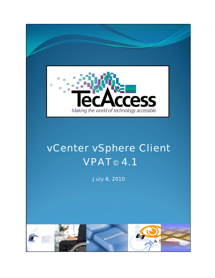

## vCenter vSphere Client VPAT© 4.1

July 8, 2010

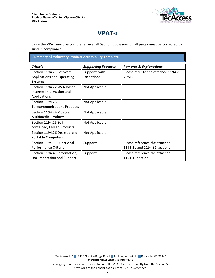

## **VPAT**®

Since the VPAT must be comprehensive, all Section 508 issues on all pages must be corrected to sustain compliance.

**Summary of Voluntary Product Accessibility Template** 

| <b>Criteria</b>                                                          | <b>Supporting Features</b>  | <b>Remarks &amp; Explanations</b>                              |
|--------------------------------------------------------------------------|-----------------------------|----------------------------------------------------------------|
| Section 1194.21 Software<br><b>Applications and Operating</b><br>Systems | Supports with<br>Exceptions | Please refer to the attached 1194.21<br>VPAT.                  |
| Section 1194.22 Web-based<br>Internet Information and<br>Applications    | Not Applicable              |                                                                |
| Section 1194.23<br><b>Telecommunications Products</b>                    | Not Applicable              |                                                                |
| Section 1194.24 Video and<br><b>Multimedia Products</b>                  | Not Applicable              |                                                                |
| Section 1194.25 Self-<br>contained, Closed Products                      | Not Applicable              |                                                                |
| Section 1194.26 Desktop and<br><b>Portable Computers</b>                 | Not Applicable              |                                                                |
| Section 1194.31 Functional<br>Performance Criteria                       | Supports                    | Please reference the attached<br>1194.21 and 1194.31 sections. |
| Section 1194.41 Information,<br>Documentation and Support                | Supports                    | Please reference the attached<br>1194.41 section.              |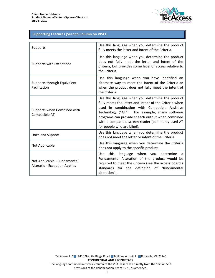

## **Supporting Features (Second Column on VPAT)**

| Supports                                                            | Use this language when you determine the product<br>fully meets the letter and intent of the Criteria.                                                                                                                                                                                                                                              |
|---------------------------------------------------------------------|-----------------------------------------------------------------------------------------------------------------------------------------------------------------------------------------------------------------------------------------------------------------------------------------------------------------------------------------------------|
| Supports with Exceptions                                            | Use this language when you determine the product<br>does not fully meet the letter and intent of the<br>Criteria, but provides some level of access relative to<br>the Criteria.                                                                                                                                                                    |
| Supports through Equivalent<br>Facilitation                         | Use this language when you have identified an<br>alternate way to meet the intent of the Criteria or<br>when the product does not fully meet the intent of<br>the Criteria.                                                                                                                                                                         |
| Supports when Combined with<br>Compatible AT                        | Use this language when you determine the product<br>fully meets the letter and intent of the Criteria when<br>used in combination with Compatible Assistive<br>Technology ("AT"). For example, many software<br>programs can provide speech output when combined<br>with a compatible screen reader (commonly used AT<br>for people who are blind). |
| Does Not Support                                                    | Use this language when you determine the product<br>does not meet the letter or intent of the Criteria.                                                                                                                                                                                                                                             |
| Not Applicable                                                      | Use this language when you determine the Criteria<br>does not apply to the specific product.                                                                                                                                                                                                                                                        |
| Not Applicable - Fundamental<br><b>Alteration Exception Applies</b> | language when you determine<br><b>Use</b><br>this<br>a<br>Fundamental Alteration of the product would be<br>required to meet the Criteria (see the access board's<br>definition of "fundamental<br>standards<br>for<br>the<br>alteration").                                                                                                         |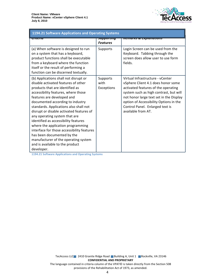

| 1194.21 Software Applications and Operating Systems                                                                                                                                                                                                                                                                                                                                                                                                                                                                                                                                               |                                             |                                                                                                                                                                                                                                                                                                       |  |
|---------------------------------------------------------------------------------------------------------------------------------------------------------------------------------------------------------------------------------------------------------------------------------------------------------------------------------------------------------------------------------------------------------------------------------------------------------------------------------------------------------------------------------------------------------------------------------------------------|---------------------------------------------|-------------------------------------------------------------------------------------------------------------------------------------------------------------------------------------------------------------------------------------------------------------------------------------------------------|--|
| पासाय                                                                                                                                                                                                                                                                                                                                                                                                                                                                                                                                                                                             | <del>ज्यामण्यापा</del> प<br><b>Features</b> | <del>nemarks &amp; Explanations</del>                                                                                                                                                                                                                                                                 |  |
| (a) When software is designed to run<br>on a system that has a keyboard,<br>product functions shall be executable<br>from a keyboard where the function<br>itself or the result of performing a<br>function can be discerned textually.                                                                                                                                                                                                                                                                                                                                                           | Supports                                    | Login Screen can be used from the<br>Keyboard. Tabbing through the<br>screen does allow user to use form<br>fields.                                                                                                                                                                                   |  |
| (b) Applications shall not disrupt or<br>disable activated features of other<br>products that are identified as<br>accessibility features, where those<br>features are developed and<br>documented according to industry<br>standards. Applications also shall not<br>disrupt or disable activated features of<br>any operating system that are<br>identified as accessibility features<br>where the application programming<br>interface for those accessibility features<br>has been documented by the<br>manufacturer of the operating system<br>and is available to the product<br>developer. | Supports<br>with<br>Exceptions              | Virtual Infrastructure - vCenter<br>vSphere Client 4.1 does honor some<br>activated features of the operating<br>system such as high contrast, but will<br>not honor large text set in the Display<br>option of Accessibility Options in the<br>Control Panel. Enlarged text is<br>available from AT. |  |

1194.21 Software Applications and Operating Systems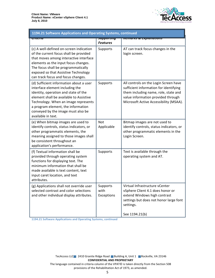

| 1194.21 Software Applications and Operating Systems, continued                                                                                                                                                                                                                                          |                                         |                                                                                                                                                                                                         |  |
|---------------------------------------------------------------------------------------------------------------------------------------------------------------------------------------------------------------------------------------------------------------------------------------------------------|-----------------------------------------|---------------------------------------------------------------------------------------------------------------------------------------------------------------------------------------------------------|--|
| पास्ताप                                                                                                                                                                                                                                                                                                 | <del>วนpportmy</del><br><b>Features</b> | nemarks & Explanations                                                                                                                                                                                  |  |
| (c) A well-defined on-screen indication<br>of the current focus shall be provided<br>that moves among interactive interface<br>elements as the input focus changes.<br>The focus shall be programmatically<br>exposed so that Assistive Technology<br>can track focus and focus changes.                | Supports                                | AT can track focus changes in the<br>login screen.                                                                                                                                                      |  |
| (d) Sufficient information about a user<br>interface element including the<br>identity, operation and state of the<br>element shall be available to Assistive<br>Technology. When an image represents<br>a program element, the information<br>conveyed by the image must also be<br>available in text. | Supports                                | All controls on the Login Screen have<br>sufficient information for identifying<br>them including name, role, state and<br>value information provided through<br>Microsoft Active Accessibility (MSAA). |  |
| (e) When bitmap images are used to<br>identify controls, status indicators, or<br>other programmatic elements, the<br>meaning assigned to those images shall<br>be consistent throughout an<br>application's performance.                                                                               | Not<br>Applicable                       | Bitmap images are not used to<br>identify controls, status indicators, or<br>other programmatic elements in the<br>Login Screen.                                                                        |  |
| (f) Textual information shall be<br>provided through operating system<br>functions for displaying text. The<br>minimum information that shall be<br>made available is text content, text<br>input caret location, and text<br>attributes.                                                               | Supports                                | Text is available through the<br>operating system and AT.                                                                                                                                               |  |
| (g) Applications shall not override user<br>selected contrast and color selections<br>and other individual display attributes.                                                                                                                                                                          | Supports<br>with<br>Exceptions          | Virtual Infrastructure vCenter<br>vSphere Client 4.1 does honor or<br>extend Windows high contrast<br>settings but does not honor large font<br>settings.<br>See 1194.21(b)                             |  |

1194.21 Software Applications and Operating Systems, continued

TecAccess LLC 2410 Granite Ridge Road Building A, Unit 1 Rockville, VA 23146 **CONFIDENTIAL AND PROPRIETARY** The language contained in criteria column of the VPAT© is taken directly from the Section 508

provisions of the Rehabilitation Act of 1973, as amended.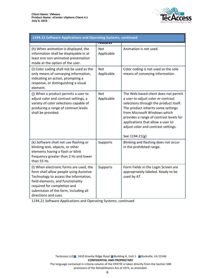

| 1194.21 Software Applications and Operating Systems, continued                                                                                                                                                                                                   |                          |                                                                                                                                                                                                                                                                                                                                     |  |
|------------------------------------------------------------------------------------------------------------------------------------------------------------------------------------------------------------------------------------------------------------------|--------------------------|-------------------------------------------------------------------------------------------------------------------------------------------------------------------------------------------------------------------------------------------------------------------------------------------------------------------------------------|--|
|                                                                                                                                                                                                                                                                  | <del>reatures</del>      |                                                                                                                                                                                                                                                                                                                                     |  |
| (h) When animation is displayed, the<br>information shall be displayable in at<br>least one non-animated presentation<br>mode at the option of the user.                                                                                                         | <b>Not</b><br>Applicable | Animation is not used.                                                                                                                                                                                                                                                                                                              |  |
| (i) Color coding shall not be used as the<br>only means of conveying information,<br>indicating an action, prompting a<br>response, or distinguishing a visual<br>element.                                                                                       | Not<br>Applicable        | Color coding is not used as the sole<br>means of conveying information.                                                                                                                                                                                                                                                             |  |
| (j) When a product permits a user to<br>adjust color and contrast settings, a<br>variety of color selections capable of<br>producing a range of contrast levels<br>shall be provided.                                                                            | <b>Not</b><br>Applicable | The Web based client does not permit<br>a user to adjust color or contrast<br>selections through the product itself.<br>The product inherits some settings<br>from Microsoft Windows which<br>provides a range of contrast levels for<br>applications that allow a user to<br>adjust color and contrast settings.<br>See 1194.21(g) |  |
| (k) Software shall not use flashing or<br>blinking text, objects, or other<br>elements having a flash or blink<br>frequency greater than 2 Hz and lower<br>than 55 Hz.                                                                                           | Supports                 | Blinking and flashing does not occur<br>in the prohibited range.                                                                                                                                                                                                                                                                    |  |
| (I) When electronic forms are used, the<br>form shall allow people using Assistive<br>Technology to access the information,<br>field elements, and functionality<br>required for completion and<br>submission of the form, including all<br>directions and cues. | Supports                 | Form Fields in the Login Screen are<br>appropriately labeled. Ready to be<br>used by AT.                                                                                                                                                                                                                                            |  |

1194.21 Software Applications and Operating Systems, continued

TecAccess LLC 2410 Granite Ridge Road Building A, Unit 1 Rockville, VA 23146 **CONFIDENTIAL AND PROPRIETARY** 

The language contained in criteria column of the VPAT© is taken directly from the Section 508 provisions of the Rehabilitation Act of 1973, as amended.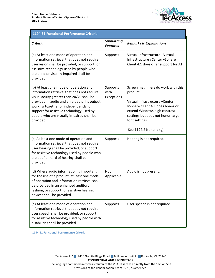

| 1194.31 Functional Performance Criteria                                                                                                                                                                                                                                                                                          |                                      |                                                                                                                                                                                                                                        |  |
|----------------------------------------------------------------------------------------------------------------------------------------------------------------------------------------------------------------------------------------------------------------------------------------------------------------------------------|--------------------------------------|----------------------------------------------------------------------------------------------------------------------------------------------------------------------------------------------------------------------------------------|--|
| <b>Criteria</b>                                                                                                                                                                                                                                                                                                                  | <b>Supporting</b><br><b>Features</b> | <b>Remarks &amp; Explanations</b>                                                                                                                                                                                                      |  |
| (a) At least one mode of operation and<br>information retrieval that does not require<br>user vision shall be provided, or support for<br>assistive technology used by people who<br>are blind or visually impaired shall be<br>provided.                                                                                        | Supports                             | Virtual Infrastructure - Virtual<br>Infrastructure vCenter vSphere<br>Client 4.1 does offer support for AT.                                                                                                                            |  |
| (b) At least one mode of operation and<br>information retrieval that does not require<br>visual acuity greater than 20/70 shall be<br>provided in audio and enlarged print output<br>working together or independently, or<br>support for assistive technology used by<br>people who are visually impaired shall be<br>provided. | Supports<br>with<br>Exceptions       | Screen magnifiers do work with this<br>product.<br>Virtual Infrastructure vCenter<br>vSphere Client 4.1 does honor or<br>extend Windows high contrast<br>settings but does not honor large<br>font settings.<br>See 1194.21(b) and (g) |  |
| (c) At least one mode of operation and<br>information retrieval that does not require<br>user hearing shall be provided, or support<br>for assistive technology used by people who<br>are deaf or hard of hearing shall be<br>provided.                                                                                          | Supports                             | Hearing is not required.                                                                                                                                                                                                               |  |
| (d) Where audio information is important<br>for the use of a product, at least one mode<br>of operation and information retrieval shall<br>be provided in an enhanced auditory<br>fashion, or support for assistive hearing<br>devices shall be provided.                                                                        | Not<br>Applicable                    | Audio is not present.                                                                                                                                                                                                                  |  |
| (e) At least one mode of operation and<br>information retrieval that does not require<br>user speech shall be provided, or support<br>for assistive technology used by people with<br>disabilities shall be provided.                                                                                                            | Supports                             | User speech is not required.                                                                                                                                                                                                           |  |

1194.31 Functional Performance Criteria

TecAccess LLC 2410 Granite Ridge Road Building A, Unit 1 Rockville, VA 23146 **CONFIDENTIAL AND PROPRIETARY** The language contained in criteria column of the VPAT© is taken directly from the Section 508 provisions of the Rehabilitation Act of 1973, as amended.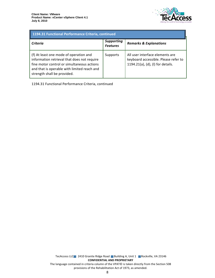

| 1194.31 Functional Performance Criteria, continued                                                                                                                                                                |                                      |                                                                                                              |
|-------------------------------------------------------------------------------------------------------------------------------------------------------------------------------------------------------------------|--------------------------------------|--------------------------------------------------------------------------------------------------------------|
| Criteria                                                                                                                                                                                                          | <b>Supporting</b><br><b>Features</b> | <b>Remarks &amp; Explanations</b>                                                                            |
| (f) At least one mode of operation and<br>information retrieval that does not require<br>fine motor control or simultaneous actions<br>and that is operable with limited reach and<br>strength shall be provided. | Supports                             | All user interface elements are<br>keyboard accessible. Please refer to<br>1194.21(a), (d), (l) for details. |

1194.31 Functional Performance Criteria, continued

TecAccess LLC 2410 Granite Ridge Road Building A, Unit 1 Rockville, VA 23146 **CONFIDENTIAL AND PROPRIETARY** The language contained in criteria column of the VPAT© is taken directly from the Section 508 provisions of the Rehabilitation Act of 1973, as amended.